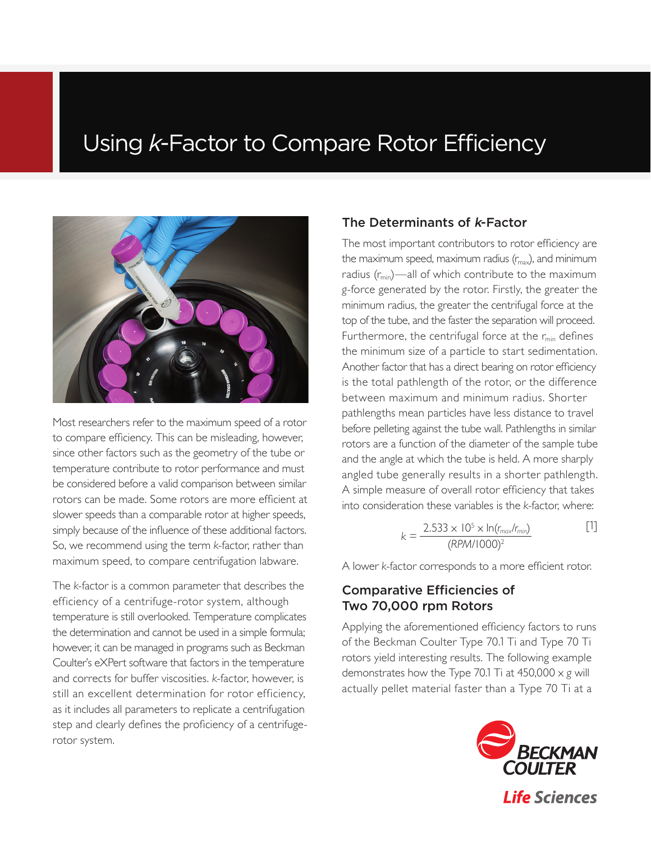# Using *k*-Factor to Compare Rotor Efficiency



Most researchers refer to the maximum speed of a rotor to compare efficiency. This can be misleading, however, since other factors such as the geometry of the tube or temperature contribute to rotor performance and must be considered before a valid comparison between similar rotors can be made. Some rotors are more efficient at slower speeds than a comparable rotor at higher speeds, simply because of the influence of these additional factors. So, we recommend using the term *k*-factor, rather than maximum speed, to compare centrifugation labware.

The *k*-factor is a common parameter that describes the efficiency of a centrifuge-rotor system, although temperature is still overlooked. Temperature complicates the determination and cannot be used in a simple formula; however, it can be managed in programs such as Beckman Coulter's eXPert software that factors in the temperature and corrects for buffer viscosities. *k*-factor, however, is still an excellent determination for rotor efficiency, as it includes all parameters to replicate a centrifugation step and clearly defines the proficiency of a centrifugerotor system.

### The Determinants of k-Factor

The most important contributors to rotor efficiency are the maximum speed, maximum radius  $(r_{\text{max}})$ , and minimum radius  $(r_{min})$ —all of which contribute to the maximum *g*-force generated by the rotor. Firstly, the greater the minimum radius, the greater the centrifugal force at the top of the tube, and the faster the separation will proceed. Furthermore, the centrifugal force at the  $r_{\text{min}}$  defines the minimum size of a particle to start sedimentation. Another factor that has a direct bearing on rotor efficiency is the total pathlength of the rotor, or the difference between maximum and minimum radius. Shorter pathlengths mean particles have less distance to travel before pelleting against the tube wall. Pathlengths in similar rotors are a function of the diameter of the sample tube and the angle at which the tube is held. A more sharply angled tube generally results in a shorter pathlength. A simple measure of overall rotor efficiency that takes into consideration these variables is the *k*-factor, where:

$$
k = \frac{2.533 \times 10^5 \times \ln(r_{\text{max}}/r_{\text{min}})}{(RPM/1000)^2}
$$
 [1]

A lower *k*-factor corresponds to a more efficient rotor.

# Comparative Efficiencies of Two 70,000 rpm Rotors

Applying the aforementioned efficiency factors to runs of the Beckman Coulter Type 70.1 Ti and Type 70 Ti rotors yield interesting results. The following example demonstrates how the Type 70.1 Ti at 450,000 x *g* will actually pellet material faster than a Type 70 Ti at a

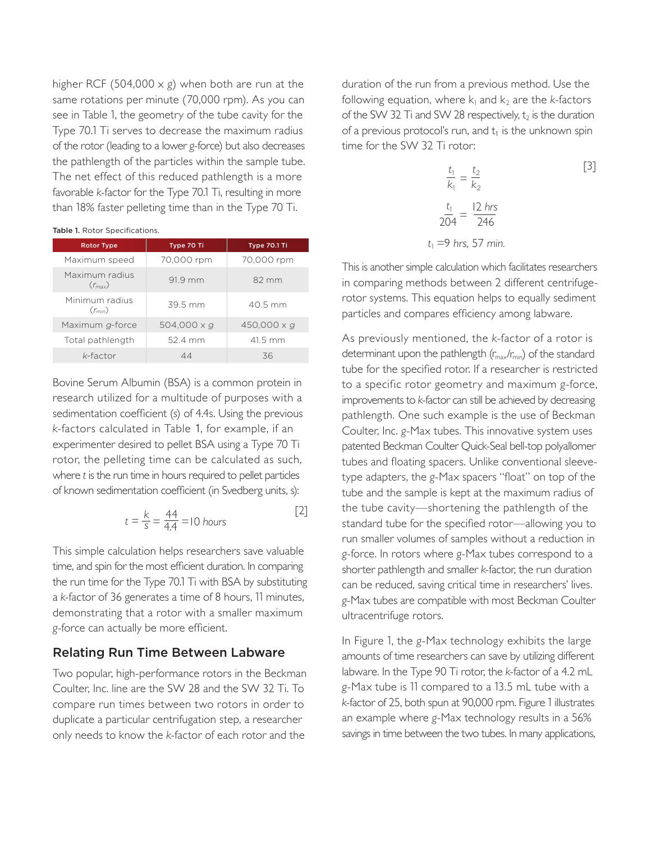higher RCF (504,000 x *g*) when both are run at the same rotations per minute (70,000 rpm). As you can see in Table 1, the geometry of the tube cavity for the Type 70.1 Ti serves to decrease the maximum radius of the rotor (leading to a lower *g*-force) but also decreases the pathlength of the particles within the sample tube. The net effect of this reduced pathlength is a more favorable *k*-factor for the Type 70.1 Ti, resulting in more than 18% faster pelleting time than in the Type 70 Ti.

|  | Table 1. Rotor Specifications. |
|--|--------------------------------|
|  |                                |

| <b>Rotor Type</b>                    | Type 70 Ti  | Type 70.1 Ti |  |
|--------------------------------------|-------------|--------------|--|
| Maximum speed                        | 70,000 rpm  | 70,000 rpm   |  |
| Maximum radius<br>$(r_{\text{max}})$ | 91.9 mm     | 82 mm        |  |
| Minimum radius<br>$(r_{min})$        | 39.5 mm     | 40.5 mm      |  |
| Maximum g-force                      | 504,000 x q | 450,000 x g  |  |
| Total pathlength                     | 52.4 mm     | 41.5 mm      |  |
| $k$ -factor                          | 44          | 36           |  |

Bovine Serum Albumin (BSA) is a common protein in research utilized for a multitude of purposes with a sedimentation coefficient (*s*) of 4.4s. Using the previous *k*-factors calculated in Table 1, for example, if an experimenter desired to pellet BSA using a Type 70 Ti rotor, the pelleting time can be calculated as such, where *t* is the run time in hours required to pellet particles of known sedimentation coefficient (in Svedberg units, s):

$$
t = \frac{k}{s} = \frac{44}{4.4} = 10 \text{ hours}
$$
 [2]

This simple calculation helps researchers save valuable time, and spin for the most efficient duration. In comparing the run time for the Type 70.1 Ti with BSA by substituting a *k*-factor of 36 generates a time of 8 hours, 11 minutes, demonstrating that a rotor with a smaller maximum *g*-force can actually be more efficient.

### Relating Run Time Between Labware

Two popular, high-performance rotors in the Beckman Coulter, Inc. line are the SW 28 and the SW 32 Ti. To compare run times between two rotors in order to duplicate a particular centrifugation step, a researcher only needs to know the *k*-factor of each rotor and the

duration of the run from a previous method. Use the following equation, where  $k_1$  and  $k_2$  are the *k*-factors of the SW 32 Ti and SW 28 respectively,  $t_2$  is the duration of a previous protocol's run, and  $t_1$  is the unknown spin time for the SW 32 Ti rotor:

$$
\frac{t_1}{k_1} = \frac{t_2}{k_2}
$$
\n
$$
\frac{t_1}{204} = \frac{12 \text{ hrs}}{246}
$$
\n
$$
t_1 = 9 \text{ hrs}, 57 \text{ min.}
$$
\n(3)

This is another simple calculation which facilitates researchers in comparing methods between 2 different centrifugerotor systems. This equation helps to equally sediment particles and compares efficiency among labware.

As previously mentioned, the *k*-factor of a rotor is determinant upon the pathlength  $(r_{max}/r_{min})$  of the standard tube for the specified rotor. If a researcher is restricted to a specific rotor geometry and maximum *g*-force, improvements to *k*-factor can still be achieved by decreasing pathlength. One such example is the use of Beckman Coulter, Inc. *g*-Max tubes. This innovative system uses patented Beckman Coulter Quick-Seal bell-top polyallomer tubes and floating spacers. Unlike conventional sleevetype adapters, the *g*-Max spacers "float" on top of the tube and the sample is kept at the maximum radius of the tube cavity—shortening the pathlength of the standard tube for the specified rotor—allowing you to run smaller volumes of samples without a reduction in *g*-force. In rotors where *g*-Max tubes correspond to a shorter pathlength and smaller *k*-factor, the run duration can be reduced, saving critical time in researchers' lives. *g*-Max tubes are compatible with most Beckman Coulter ultracentrifuge rotors.

In Figure 1, the *g*-Max technology exhibits the large amounts of time researchers can save by utilizing different labware. In the Type 90 Ti rotor, the *k*-factor of a 4.2 mL *g*-Max tube is 11 compared to a 13.5 mL tube with a *k*-factor of 25, both spun at 90,000 rpm. Figure 1 illustrates an example where *g*-Max technology results in a 56% savings in time between the two tubes. In many applications,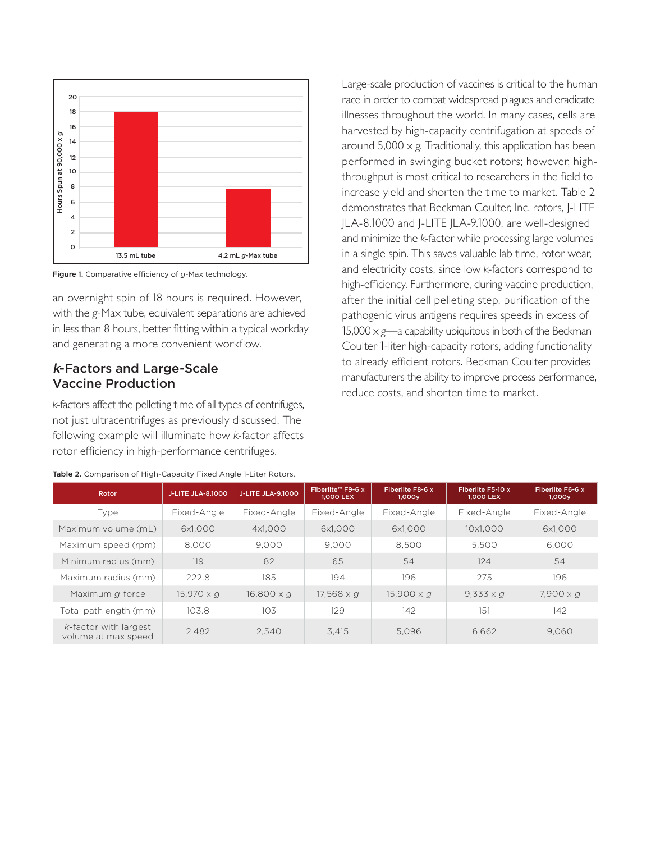

Figure 1. Comparative efficiency of *g*-Max technology.

an overnight spin of 18 hours is required. However, with the *g*-Max tube, equivalent separations are achieved in less than 8 hours, better fitting within a typical workday and generating a more convenient workflow.

# k-Factors and Large-Scale Vaccine Production

*k*-factors affect the pelleting time of all types of centrifuges, not just ultracentrifuges as previously discussed. The following example will illuminate how *k*-factor affects rotor efficiency in high-performance centrifuges.

Large-scale production of vaccines is critical to the human race in order to combat widespread plagues and eradicate illnesses throughout the world. In many cases, cells are harvested by high-capacity centrifugation at speeds of around  $5,000 \times g$ . Traditionally, this application has been performed in swinging bucket rotors; however, highthroughput is most critical to researchers in the field to increase yield and shorten the time to market. Table 2 demonstrates that Beckman Coulter, Inc. rotors, J-LITE JLA-8.1000 and J-LITE JLA-9.1000, are well-designed and minimize the *k*-factor while processing large volumes in a single spin. This saves valuable lab time, rotor wear, and electricity costs, since low *k*-factors correspond to high-efficiency. Furthermore, during vaccine production, after the initial cell pelleting step, purification of the pathogenic virus antigens requires speeds in excess of 15,000  $\times$  *g*—a capability ubiquitous in both of the Beckman Coulter 1-liter high-capacity rotors, adding functionality to already efficient rotors. Beckman Coulter provides manufacturers the ability to improve process performance, reduce costs, and shorten time to market.

| Rotor                                           | <b>J-LITE JLA-8.1000</b> | <b>J-LITE JLA-9.1000</b> | Fiberlite™ F9-6 x<br>1,000 LEX | Fiberlite F8-6 x<br>1,000y | Fiberlite F5-10 x<br>1,000 LEX | Fiberlite F6-6 x<br>1,000y |
|-------------------------------------------------|--------------------------|--------------------------|--------------------------------|----------------------------|--------------------------------|----------------------------|
| Type                                            | Fixed-Angle              | Fixed-Angle              | Fixed-Angle                    | Fixed-Angle                | Fixed-Angle                    | Fixed-Angle                |
| Maximum volume (mL)                             | 6x1.000                  | 4x1,000                  | 6x1.000                        | 6x1.000                    | 10x1.000                       | 6x1,000                    |
| Maximum speed (rpm)                             | 8.000                    | 9.000                    | 9.000                          | 8.500                      | 5.500                          | 6.000                      |
| Minimum radius (mm)                             | 119                      | 82                       | 65                             | 54                         | 124                            | 54                         |
| Maximum radius (mm)                             | 222.8                    | 185                      | 194                            | 196                        | 275                            | 196                        |
| Maximum g-force                                 | $15,970 \times q$        | $16,800 \times q$        | $17,568 \times q$              | $15,900 \times q$          | $9,333 \times q$               | $7,900 \times q$           |
| Total pathlength (mm)                           | 103.8                    | 103                      | 129                            | 142                        | 151                            | 142                        |
| $k$ -factor with largest<br>volume at max speed | 2,482                    | 2.540                    | 3.415                          | 5.096                      | 6.662                          | 9.060                      |

|  |  | Table 2. Comparison of High-Capacity Fixed Angle 1-Liter Rotors. |  |  |
|--|--|------------------------------------------------------------------|--|--|
|  |  |                                                                  |  |  |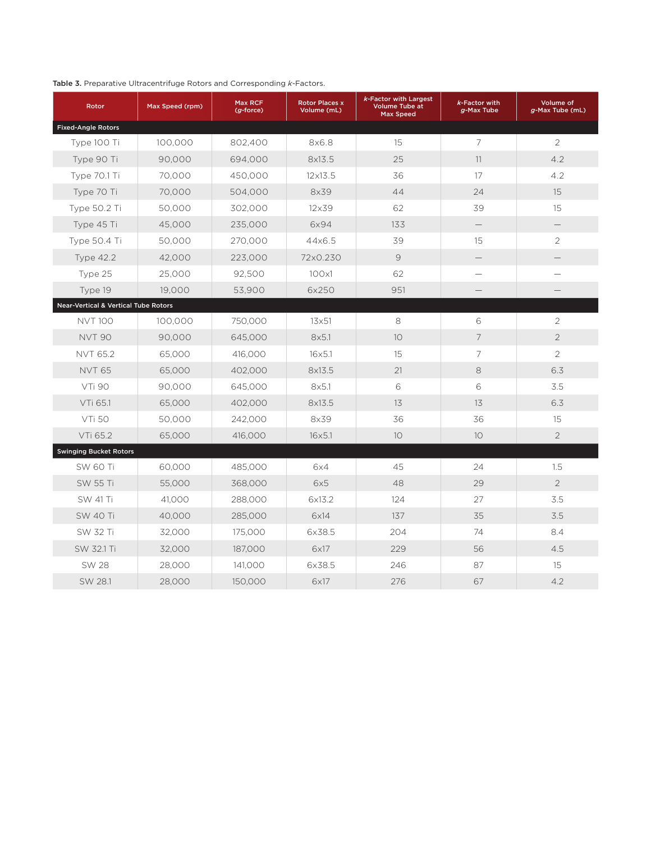#### Table 3. Preparative Ultracentrifuge Rotors and Corresponding *k*-Factors.

| Rotor                                           | Max Speed (rpm) | Max RCF<br>$(g$ -force) | <b>Rotor Places x</b><br>Volume (mL) | k-Factor with Largest<br><b>Volume Tube at</b><br><b>Max Speed</b> | k-Factor with<br>g-Max Tube | Volume of<br>g-Max Tube (mL) |
|-------------------------------------------------|-----------------|-------------------------|--------------------------------------|--------------------------------------------------------------------|-----------------------------|------------------------------|
| <b>Fixed-Angle Rotors</b>                       |                 |                         |                                      |                                                                    |                             |                              |
| Type 100 Ti                                     | 100,000         | 802,400                 | 8x6.8                                | 15                                                                 | $\overline{7}$              | $\overline{2}$               |
| Type 90 Ti                                      | 90.000          | 694.000                 | 8x13.5                               | 25                                                                 | 11                          | 4.2                          |
| Type 70.1 Ti                                    | 70,000          | 450,000                 | $12 \times 13.5$                     | 36                                                                 | 17                          | 4.2                          |
| Type 70 Ti                                      | 70,000          | 504,000                 | 8x39                                 | 44                                                                 | 24                          | 15                           |
| Type 50.2 Ti                                    | 50,000          | 302,000                 | 12×39                                | 62                                                                 | 39                          | 15                           |
| Type 45 Ti                                      | 45,000          | 235,000                 | 6x94                                 | 133                                                                | $\overline{\phantom{0}}$    |                              |
| Type 50.4 Ti                                    | 50.000          | 270,000                 | 44x6.5                               | 39                                                                 | 15                          | $\overline{2}$               |
| <b>Type 42.2</b>                                | 42,000          | 223,000                 | 72×0.230                             | 9                                                                  |                             |                              |
| Type 25                                         | 25,000          | 92,500                  | 100x1                                | 62                                                                 |                             |                              |
| Type 19                                         | 19,000          | 53,900                  | 6x250                                | 951                                                                |                             |                              |
| <b>Near-Vertical &amp; Vertical Tube Rotors</b> |                 |                         |                                      |                                                                    |                             |                              |
| <b>NVT 100</b>                                  | 100,000         | 750,000                 | $13\times51$                         | 8                                                                  | 6                           | $\mathbf{2}$                 |
| <b>NVT 90</b>                                   | 90,000          | 645,000                 | 8x5.1                                | 10                                                                 | 7                           | $\overline{2}$               |
| <b>NVT 65.2</b>                                 | 65,000          | 416,000                 | $16\times5.1$                        | 15                                                                 | 7                           | $\overline{2}$               |
| <b>NVT 65</b>                                   | 65,000          | 402,000                 | 8x13.5                               | 21                                                                 | 8                           | 6.3                          |
| VTi 90                                          | 90,000          | 645,000                 | 8x5.1                                | 6                                                                  | 6                           | 3.5                          |
| VTi 65.1                                        | 65,000          | 402,000                 | 8x13.5                               | 13                                                                 | 13                          | 6.3                          |
| <b>VTi 50</b>                                   | 50,000          | 242,000                 | 8x39                                 | 36                                                                 | 36                          | 15                           |
| VTi 65.2                                        | 65,000          | 416,000                 | $16\times5.1$                        | 10                                                                 | 10                          | $\overline{2}$               |
| <b>Swinging Bucket Rotors</b>                   |                 |                         |                                      |                                                                    |                             |                              |
| <b>SW 60 Ti</b>                                 | 60,000          | 485,000                 | 6x4                                  | 45                                                                 | 24                          | 1.5                          |
| SW 55 Ti                                        | 55,000          | 368,000                 | 6x5                                  | 48                                                                 | 29                          | $\overline{2}$               |
| SW 41 Ti                                        | 41,000          | 288,000                 | 6x13.2                               | 124                                                                | 27                          | 3.5                          |
| <b>SW 40 Ti</b>                                 | 40,000          | 285,000                 | 6x14                                 | 137                                                                | 35                          | 3.5                          |
| SW 32 Ti                                        | 32,000          | 175,000                 | 6x38.5                               | 204                                                                | 74                          | 8.4                          |
| SW 32.1 Ti                                      | 32.000          | 187.000                 | 6x17                                 | 229                                                                | 56                          | 4.5                          |
| <b>SW 28</b>                                    | 28,000          | 141,000                 | 6x38.5                               | 246                                                                | 87                          | 15                           |
| SW 28.1                                         | 28,000          | 150,000                 | 6x17                                 | 276                                                                | 67                          | 4.2                          |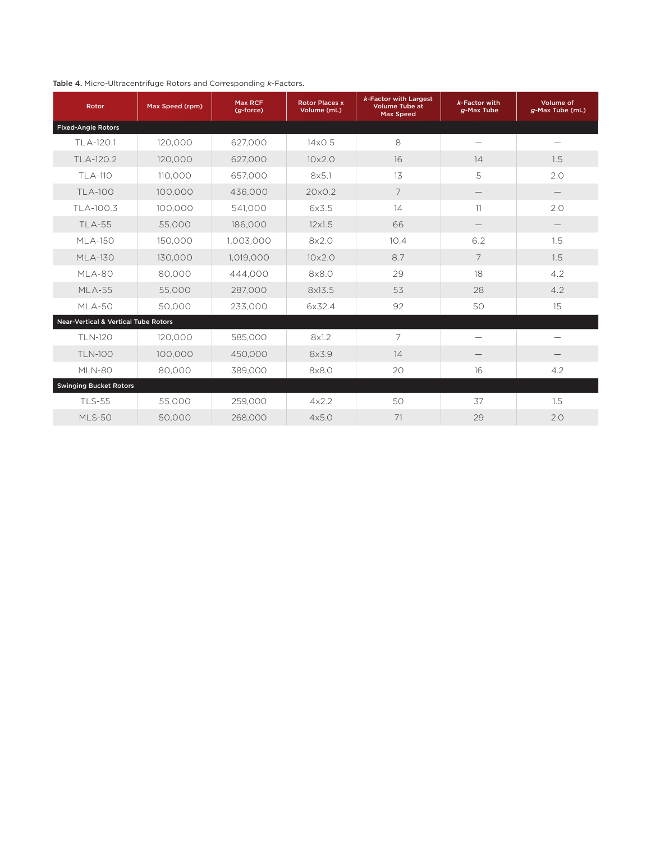#### Table 4. Micro-Ultracentrifuge Rotors and Corresponding *k*-Factors.

| Rotor                                           | Max Speed (rpm) | Max RCF<br>$(g$ -force) | <b>Rotor Places x</b><br>Volume (mL) | k-Factor with Largest<br><b>Volume Tube at</b><br><b>Max Speed</b> | $k$ -Factor with<br>$g$ -Max Tube | Volume of<br>g-Max Tube (mL) |
|-------------------------------------------------|-----------------|-------------------------|--------------------------------------|--------------------------------------------------------------------|-----------------------------------|------------------------------|
| <b>Fixed-Angle Rotors</b>                       |                 |                         |                                      |                                                                    |                                   |                              |
| TLA-120.1                                       | 120,000         | 627.000                 | $14\times$ 0.5                       | 8                                                                  |                                   |                              |
| TLA-120.2                                       | 120,000         | 627,000                 | $10\times2.0$                        | 16                                                                 | 14                                | 1.5                          |
| TLA-110                                         | 110,000         | 657,000                 | 8x5.1                                | 13                                                                 | 5                                 | 2.0                          |
| <b>TLA-100</b>                                  | 100,000         | 436,000                 | 20×0.2                               | $\overline{7}$                                                     |                                   |                              |
| TLA-100.3                                       | 100,000         | 541,000                 | 6x3.5                                | 14                                                                 | 11                                | 2.0                          |
| <b>TLA-55</b>                                   | 55,000          | 186,000                 | $12\times1.5$                        | 66                                                                 |                                   |                              |
| <b>MLA-150</b>                                  | 150,000         | 1,003,000               | 8x2.0                                | 10.4                                                               | 6.2                               | 1.5                          |
| ML A-130                                        | 130,000         | 1,019,000               | $10\times2.0$                        | 8.7                                                                | 7                                 | 1.5                          |
| MLA-80                                          | 80,000          | 444,000                 | 8x8.0                                | 29                                                                 | 18                                | 4.2                          |
| <b>MLA-55</b>                                   | 55,000          | 287,000                 | 8x13.5                               | 53                                                                 | 28                                | 4.2                          |
| MLA-50                                          | 50.000          | 233,000                 | 6×32.4                               | 92                                                                 | 50                                | 15                           |
| <b>Near-Vertical &amp; Vertical Tube Rotors</b> |                 |                         |                                      |                                                                    |                                   |                              |
| TLN-120                                         | 120,000         | 585,000                 | 8x1.2                                | $\overline{7}$                                                     |                                   |                              |
| <b>TLN-100</b>                                  | 100,000         | 450,000                 | 8x3.9                                | 14                                                                 |                                   |                              |
| MLN-80                                          | 80.000          | 389,000                 | 8x8.0                                | 20                                                                 | 16                                | 4.2                          |
| <b>Swinging Bucket Rotors</b>                   |                 |                         |                                      |                                                                    |                                   |                              |
| TLS-55                                          | 55,000          | 259,000                 | 4x2.2                                | 50                                                                 | 37                                | 1.5                          |
| <b>MLS-50</b>                                   | 50,000          | 268,000                 | 4x5.0                                | 71                                                                 | 29                                | 2.0                          |